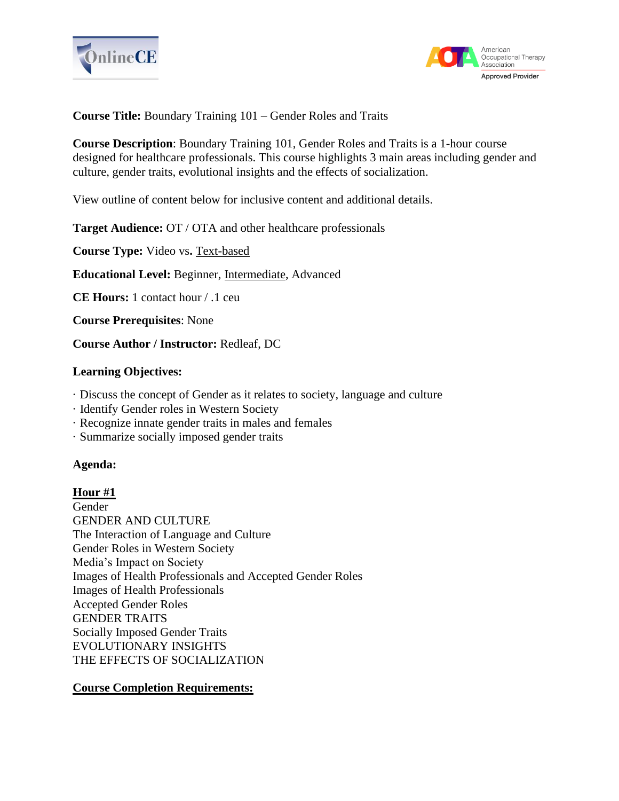



### **Course Title:** Boundary Training 101 – Gender Roles and Traits

**Course Description**: Boundary Training 101, Gender Roles and Traits is a 1-hour course designed for healthcare professionals. This course highlights 3 main areas including gender and culture, gender traits, evolutional insights and the effects of socialization.

View outline of content below for inclusive content and additional details.

**Target Audience:** OT / OTA and other healthcare professionals

**Course Type:** Video vs**.** Text-based

**Educational Level:** Beginner, Intermediate, Advanced

**CE Hours:** 1 contact hour / .1 ceu

**Course Prerequisites**: None

**Course Author / Instructor:** Redleaf, DC

#### **Learning Objectives:**

- · Discuss the concept of Gender as it relates to society, language and culture
- · Identify Gender roles in Western Society
- · Recognize innate gender traits in males and females
- · Summarize socially imposed gender traits

# **Agenda:**

#### **Hour #1**

Gender GENDER AND CULTURE The Interaction of Language and Culture Gender Roles in Western Society Media's Impact on Society Images of Health Professionals and Accepted Gender Roles Images of Health Professionals Accepted Gender Roles GENDER TRAITS Socially Imposed Gender Traits EVOLUTIONARY INSIGHTS THE EFFECTS OF SOCIALIZATION

#### **Course Completion Requirements:**